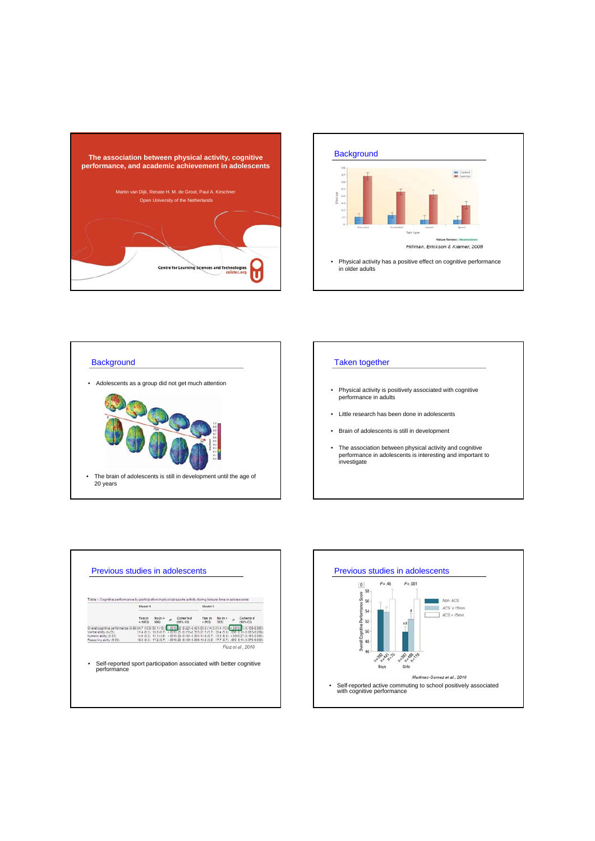









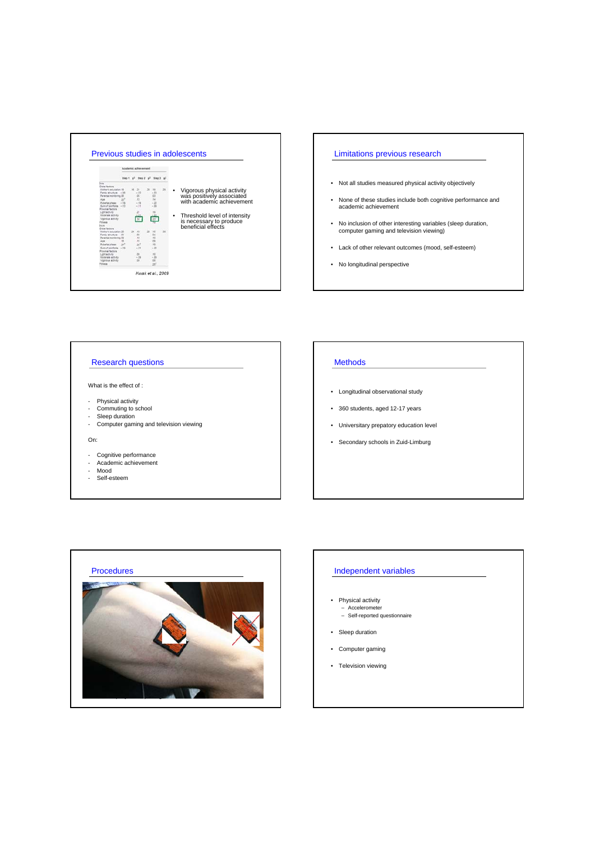

### Limitations previous research

- Not all studies measured physical activity objectively
- None of these studies include both cognitive performance and academic achievement
- No inclusion of other interesting variables (sleep duration, computer gaming and television viewing)
- Lack of other relevant outcomes (mood, self-esteem)
- No longitudinal perspective

## Research questions

- What is the effect of :
- Physical activity
- Commuting to school
- 
- Sleep duration Computer gaming and television viewing

#### On:

- Cognitive performance Academic achievement
- 
- Mood - Self-esteem

# Methods

- Longitudinal observational study
- 360 students, aged 12-17 years
- Universitary prepatory education level
- Secondary schools in Zuid-Limburg



### Independent variables

- Physical activity – Accelerometer – Self-reported questionnaire
- Sleep duration
- Computer gaming
- Television viewing